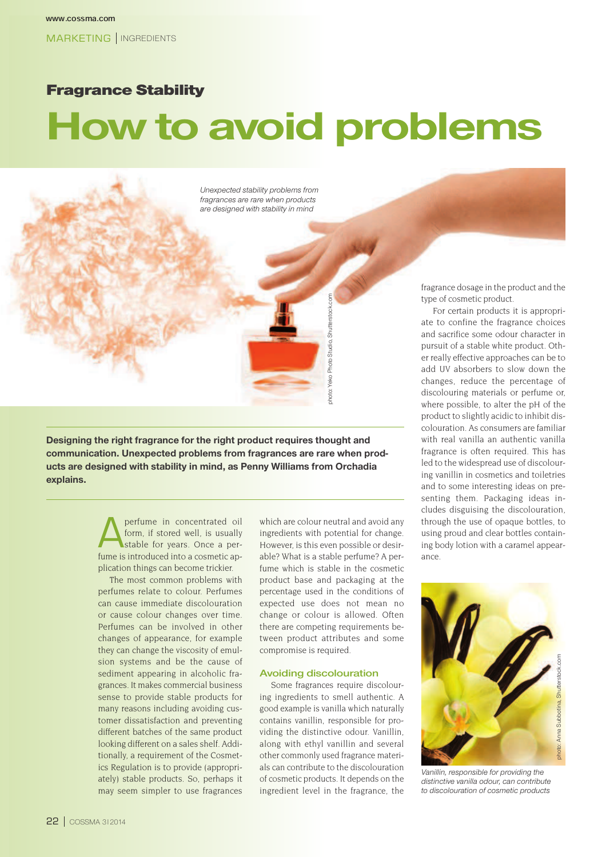# Fragrance Stability

# **How to avoid problems**

Unexpected stability problems from *fragrances are rare when products* are designed with stability in mind



Designing the right fragrance for the right product requires thought and communication. Unexpected problems from fragrances are rare when products are designed with stability in mind, as Penny Williams from Orchadia  $ex$ *plains.* 

> A perfume in concentrated oil form, if stored well, is usually stable for years. Once a perfume is introduced into a cosmetic application things can become trickier.

> The most common problems with perfumes relate to colour. Perfumes can cause immediate discolouration or cause colour changes over time. Perfumes can be involved in other changes of appearance, for example they can change the viscosity of emulsion systems and be the cause of sediment appearing in alcoholic fragrances. It makes commercial business sense to provide stable products for many reasons including avoiding customer dissatisfaction and preventing different batches of the same product looking different on a sales shelf. Additionally, a requirement of the Cosmetics Regulation is to provide (appropriately) stable products. So, perhaps it may seem simpler to use fragrances

which are colour neutral and avoid any ingredients with potential for change. However, is this even possible or desirable? What is a stable perfume? A perfume which is stable in the cosmetic product base and packaging at the percentage used in the conditions of expected use does not mean no change or colour is allowed. Often there are competing requirements between product attributes and some compromise is required.

#### **Avoiding discolouration**

Some fragrances require discolouring ingredients to smell authentic. A good example is vanilla which naturally contains vanillin, responsible for providing the distinctive odour. Vanillin, along with ethyl vanillin and several other commonly used fragrance materials can contribute to the discolouration of cosmetic products. It depends on the ingredient level in the fragrance, the

fragrance dosage in the product and the type of cosmetic product.

For certain products it is appropriate to confine the fragrance choices and sacrifice some odour character in pursuit of a stable white product. Other really effective approaches can be to add UV absorbers to slow down the changes, reduce the percentage of discolouring materials or perfume or, where possible, to alter the pH of the product to slightly acidic to inhibit discolouration. As consumers are familiar with real vanilla an authentic vanilla fragrance is often required. This has led to the widespread use of discolouring vanillin in cosmetics and toiletries and to some interesting ideas on presenting them. Packaging ideas includes disguising the discolouration, through the use of opaque bottles, to using proud and clear bottles containing body lotion with a caramel appearance.



Vanillin, responsible for providing the distinctive vanilla odour, can contribute to discolouration of cosmetic products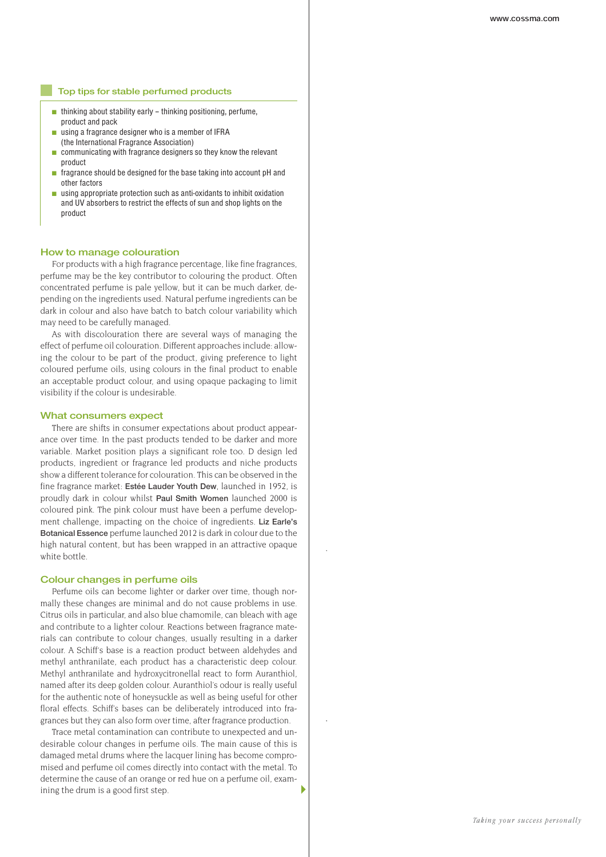#### **Top tips for stable perfumed products**

- $\blacksquare$  thinking about stability early thinking positioning, perfume. product and pack
- $\blacksquare$  using a fragrance designer who is a member of IFRA (the International Fragrance Association)
- $\blacksquare$  communicating with fragrance designers so they know the relevant product
- $\blacksquare$  fragrance should be designed for the base taking into account pH and other factors
- using appropriate protection such as anti-oxidants to inhibit oxidation and UV absorbers to restrict the effects of sun and shop lights on the product

#### **How to manage colouration**

For products with a high fragrance percentage, like fine fragrances, perfume may be the key contributor to colouring the product. Often concentrated perfume is pale yellow, but it can be much darker, depending on the ingredients used. Natural perfume ingredients can be dark in colour and also have batch to batch colour variability which may need to be carefully managed.

As with discolouration there are several ways of managing the effect of perfume oil colouration. Different approaches include: allowing the colour to be part of the product, giving preference to light coloured perfume oils, using colours in the final product to enable an acceptable product colour, and using opaque packaging to limit visibility if the colour is undesirable.

#### **What consumers expect**

There are shifts in consumer expectations about product appearance over time. In the past products tended to be darker and more variable. Market position plays a significant role too. D design led products, ingredient or fragrance led products and niche products show a different tolerance for colouration. This can be observed in the fine fragrance market: **Estée Lauder Youth Dew**, launched in 1952, is proudly dark in colour whilst **Paul Smith Women** launched 2000 is coloured pink. The pink colour must have been a perfume development challenge, impacting on the choice of ingredients. **Liz Earle's Botanical Essence** perfume launched 2012 is dark in colour due to the high natural content, but has been wrapped in an attractive opaque white bottle.

#### **Colour changes in perfume oils**

Perfume oils can become lighter or darker over time, though normally these changes are minimal and do not cause problems in use. Citrus oils in particular, and also blue chamomile, can bleach with age and contribute to a lighter colour. Reactions between fragrance materials can contribute to colour changes, usually resulting in a darker colour. A Schiff's base is a reaction product between aldehydes and methyl anthranilate, each product has a characteristic deep colour. Methyl anthranilate and hydroxycitronellal react to form Auranthiol, named after its deep golden colour. Auranthiol's odour is really useful for the authentic note of honeysuckle as well as being useful for other floral effects. Schiff's bases can be deliberately introduced into fragrances but they can also form over time, after fragrance production.

Trace metal contamination can contribute to unexpected and undesirable colour changes in perfume oils. The main cause of this is damaged metal drums where the lacquer lining has become compromised and perfume oil comes directly into contact with the metal. To determine the cause of an orange or red hue on a perfume oil, examining the drum is a good first step.